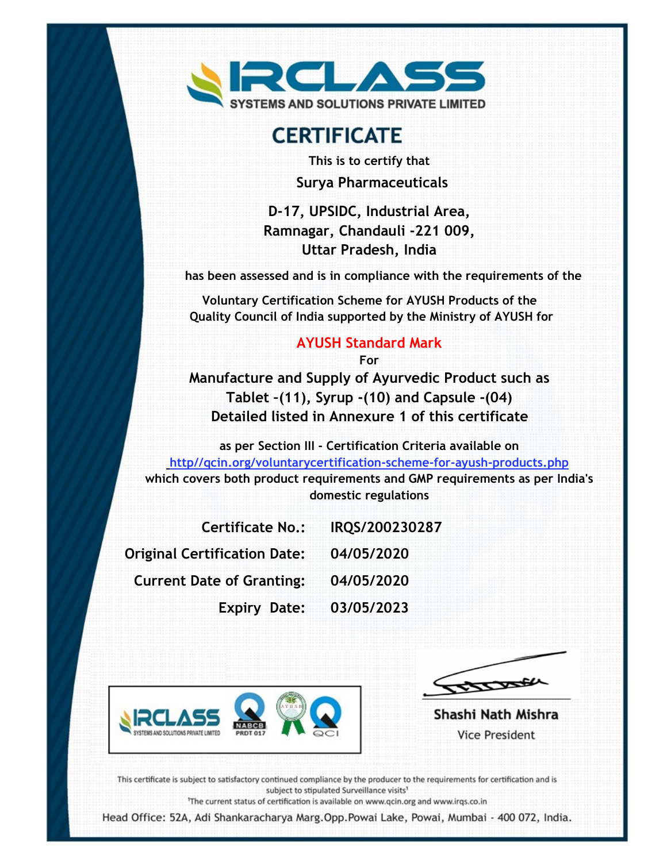

# **CERTIFICATE**

This is to certify that Surya Pharmaceuticals

D-17, UPSIDC, Industrial Area, Ramnagar, Chandauli -221 009, Uttar Pradesh, India

has been assessed and is in compliance with the requirements of the

Voluntary Certification Scheme for AYUSH Products of the Quality Council of India supported by the Ministry of AYUSH for

#### AYUSH Standard Mark

For

Manufacture and Supply of Ayurvedic Product such as Tablet –(11), Syrup -(10) and Capsule -(04) Detailed listed in Annexure 1 of this certificate

as per Section III - Certification Criteria available on http//qcin.org/voluntarycertification-scheme-for-ayush-products.php which covers both product requirements and GMP requirements as per India's domestic regulations

| <b>Certificate No.:</b>          | IRQS/200230287 |
|----------------------------------|----------------|
| Original Certification Date:     | 04/05/2020     |
| <b>Current Date of Granting:</b> | 04/05/2020     |
| <b>Expiry Date:</b>              | 03/05/2023     |





Shashi Nath Mishra **Vice President** 

This certificate is subject to satisfactory continued compliance by the producer to the requirements for certification and is subject to stipulated Surveillance visits<sup>1</sup>

<sup>1</sup>The current status of certification is available on www.qcin.org and www.irqs.co.in

Head Office: 52A, Adi Shankaracharya Marg.Opp.Powai Lake, Powai, Mumbai - 400 072, India.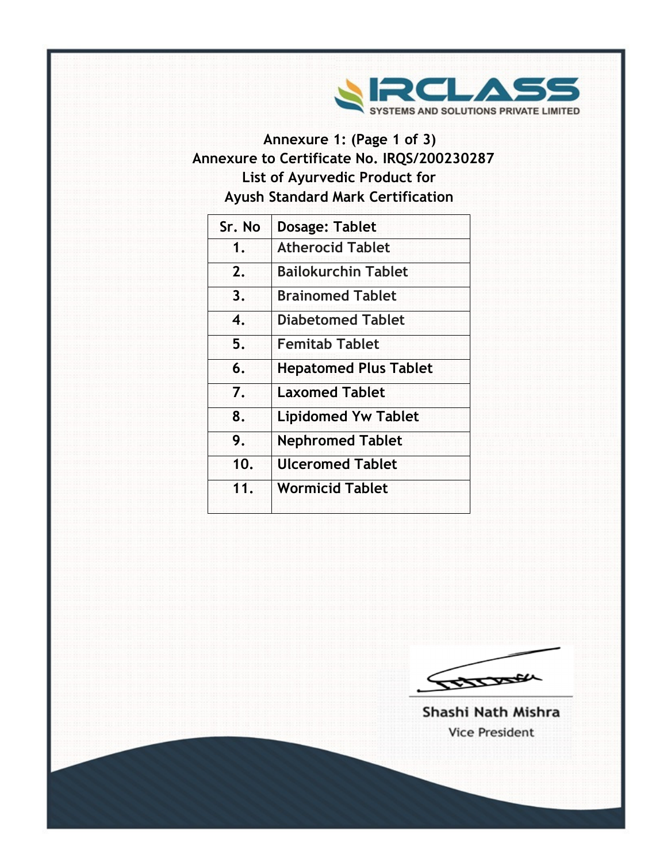

## Annexure 1: (Page 1 of 3) Annexure to Certificate No. IRQS/200230287 List of Ayurvedic Product for Ayush Standard Mark Certification

| Sr. No | <b>Dosage: Tablet</b>        |
|--------|------------------------------|
| 1.     | <b>Atherocid Tablet</b>      |
| 2.     | <b>Bailokurchin Tablet</b>   |
| 3.     | <b>Brainomed Tablet</b>      |
| 4.     | <b>Diabetomed Tablet</b>     |
| 5.     | <b>Femitab Tablet</b>        |
| 6.     | <b>Hepatomed Plus Tablet</b> |
| 7.     | <b>Laxomed Tablet</b>        |
| 8.     | <b>Lipidomed Yw Tablet</b>   |
| 9.     | <b>Nephromed Tablet</b>      |
| 10.    | <b>Ulceromed Tablet</b>      |
| 11.    | <b>Wormicid Tablet</b>       |

IBBOOK

Shashi Nath Mishra **Vice President**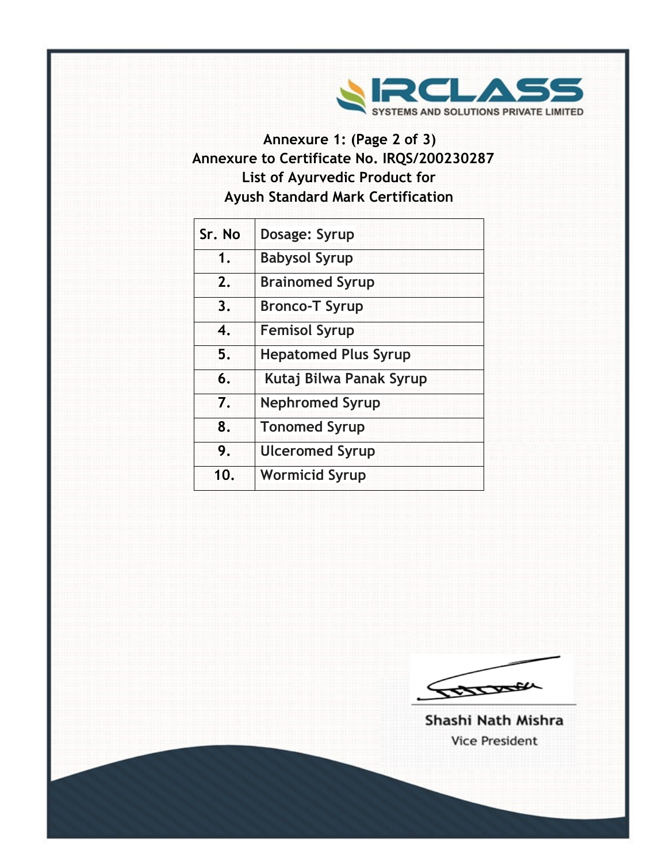

## Annexure 1: (Page 2 of 3) Annexure to Certificate No. IRQS/200230287 List of Ayurvedic Product for Ayush Standard Mark Certification

| Sr. No | Dosage: Syrup               |
|--------|-----------------------------|
| 1.     | <b>Babysol Syrup</b>        |
| 2.     | <b>Brainomed Syrup</b>      |
| 3.     | <b>Bronco-T Syrup</b>       |
| 4.     | <b>Femisol Syrup</b>        |
| 5.     | <b>Hepatomed Plus Syrup</b> |
| 6.     | Kutaj Bilwa Panak Syrup     |
| 7.     | <b>Nephromed Syrup</b>      |
| 8.     | <b>Tonomed Syrup</b>        |
| 9.     | <b>Ulceromed Syrup</b>      |
| 10.    | <b>Wormicid Syrup</b>       |
|        |                             |



Shashi Nath Mishra **Vice President**